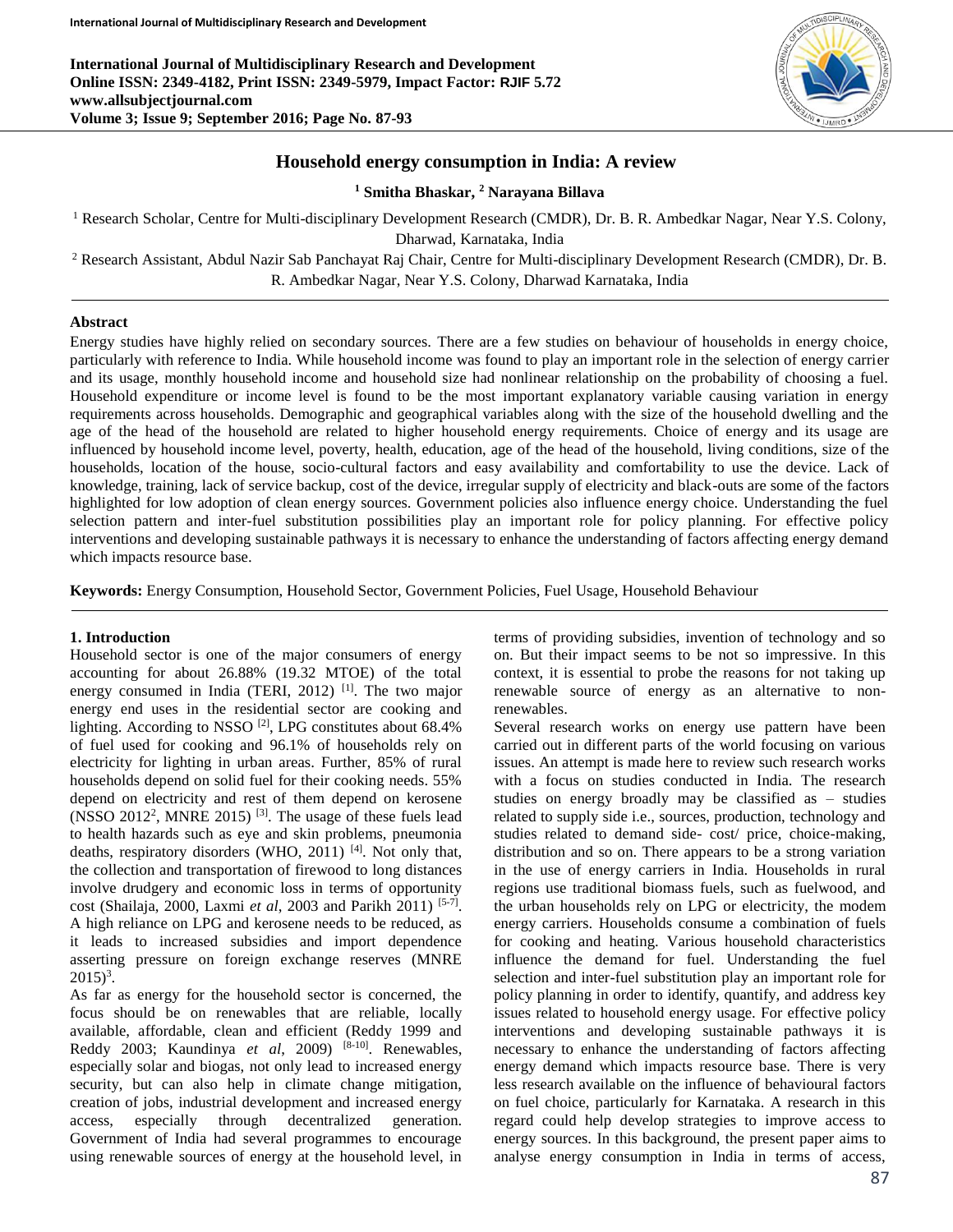**International Journal of Multidisciplinary Research and Development Online ISSN: 2349-4182, Print ISSN: 2349-5979, Impact Factor: RJIF 5.72 www.allsubjectjournal.com Volume 3; Issue 9; September 2016; Page No. 87-93**



## **Household energy consumption in India: A review**

**<sup>1</sup> Smitha Bhaskar, <sup>2</sup> Narayana Billava** 

<sup>1</sup> Research Scholar, Centre for Multi-disciplinary Development Research (CMDR), Dr. B. R. Ambedkar Nagar, Near Y.S. Colony, Dharwad, Karnataka, India

<sup>2</sup> Research Assistant, Abdul Nazir Sab Panchayat Raj Chair, Centre for Multi-disciplinary Development Research (CMDR), Dr. B. R. Ambedkar Nagar, Near Y.S. Colony, Dharwad Karnataka, India

#### **Abstract**

Energy studies have highly relied on secondary sources. There are a few studies on behaviour of households in energy choice, particularly with reference to India. While household income was found to play an important role in the selection of energy carrier and its usage, monthly household income and household size had nonlinear relationship on the probability of choosing a fuel. Household expenditure or income level is found to be the most important explanatory variable causing variation in energy requirements across households. Demographic and geographical variables along with the size of the household dwelling and the age of the head of the household are related to higher household energy requirements. Choice of energy and its usage are influenced by household income level, poverty, health, education, age of the head of the household, living conditions, size of the households, location of the house, socio-cultural factors and easy availability and comfortability to use the device. Lack of knowledge, training, lack of service backup, cost of the device, irregular supply of electricity and black-outs are some of the factors highlighted for low adoption of clean energy sources. Government policies also influence energy choice. Understanding the fuel selection pattern and inter-fuel substitution possibilities play an important role for policy planning. For effective policy interventions and developing sustainable pathways it is necessary to enhance the understanding of factors affecting energy demand which impacts resource base.

**Keywords:** Energy Consumption, Household Sector, Government Policies, Fuel Usage, Household Behaviour

### **1. Introduction**

Household sector is one of the major consumers of energy accounting for about 26.88% (19.32 MTOE) of the total energy consumed in India (TERI, 2012)<sup>[1]</sup>. The two major energy end uses in the residential sector are cooking and lighting. According to NSSO<sup>[2]</sup>, LPG constitutes about 68.4% of fuel used for cooking and 96.1% of households rely on electricity for lighting in urban areas. Further, 85% of rural households depend on solid fuel for their cooking needs. 55% depend on electricity and rest of them depend on kerosene (NSSO 2012<sup>2</sup>, MNRE 2015)<sup>[3]</sup>. The usage of these fuels lead to health hazards such as eye and skin problems, pneumonia deaths, respiratory disorders (WHO, 2011)<sup>[4]</sup>. Not only that, the collection and transportation of firewood to long distances involve drudgery and economic loss in terms of opportunity cost (Shailaja, 2000, Laxmi *et al*, 2003 and Parikh 2011)<sup>[5-7]</sup>. A high reliance on LPG and kerosene needs to be reduced, as it leads to increased subsidies and import dependence asserting pressure on foreign exchange reserves (MNRE  $2015)^3$ .

As far as energy for the household sector is concerned, the focus should be on renewables that are reliable, locally available, affordable, clean and efficient (Reddy 1999 and Reddy 2003; Kaundinya *et al*, 2009) [8-10] . Renewables, especially solar and biogas, not only lead to increased energy security, but can also help in climate change mitigation, creation of jobs, industrial development and increased energy access, especially through decentralized generation. Government of India had several programmes to encourage using renewable sources of energy at the household level, in

terms of providing subsidies, invention of technology and so on. But their impact seems to be not so impressive. In this context, it is essential to probe the reasons for not taking up renewable source of energy as an alternative to nonrenewables.

Several research works on energy use pattern have been carried out in different parts of the world focusing on various issues. An attempt is made here to review such research works with a focus on studies conducted in India. The research studies on energy broadly may be classified as – studies related to supply side i.e., sources, production, technology and studies related to demand side- cost/ price, choice-making, distribution and so on. There appears to be a strong variation in the use of energy carriers in India. Households in rural regions use traditional biomass fuels, such as fuelwood, and the urban households rely on LPG or electricity, the modem energy carriers. Households consume a combination of fuels for cooking and heating. Various household characteristics influence the demand for fuel. Understanding the fuel selection and inter-fuel substitution play an important role for policy planning in order to identify, quantify, and address key issues related to household energy usage. For effective policy interventions and developing sustainable pathways it is necessary to enhance the understanding of factors affecting energy demand which impacts resource base. There is very less research available on the influence of behavioural factors on fuel choice, particularly for Karnataka. A research in this regard could help develop strategies to improve access to energy sources. In this background, the present paper aims to analyse energy consumption in India in terms of access,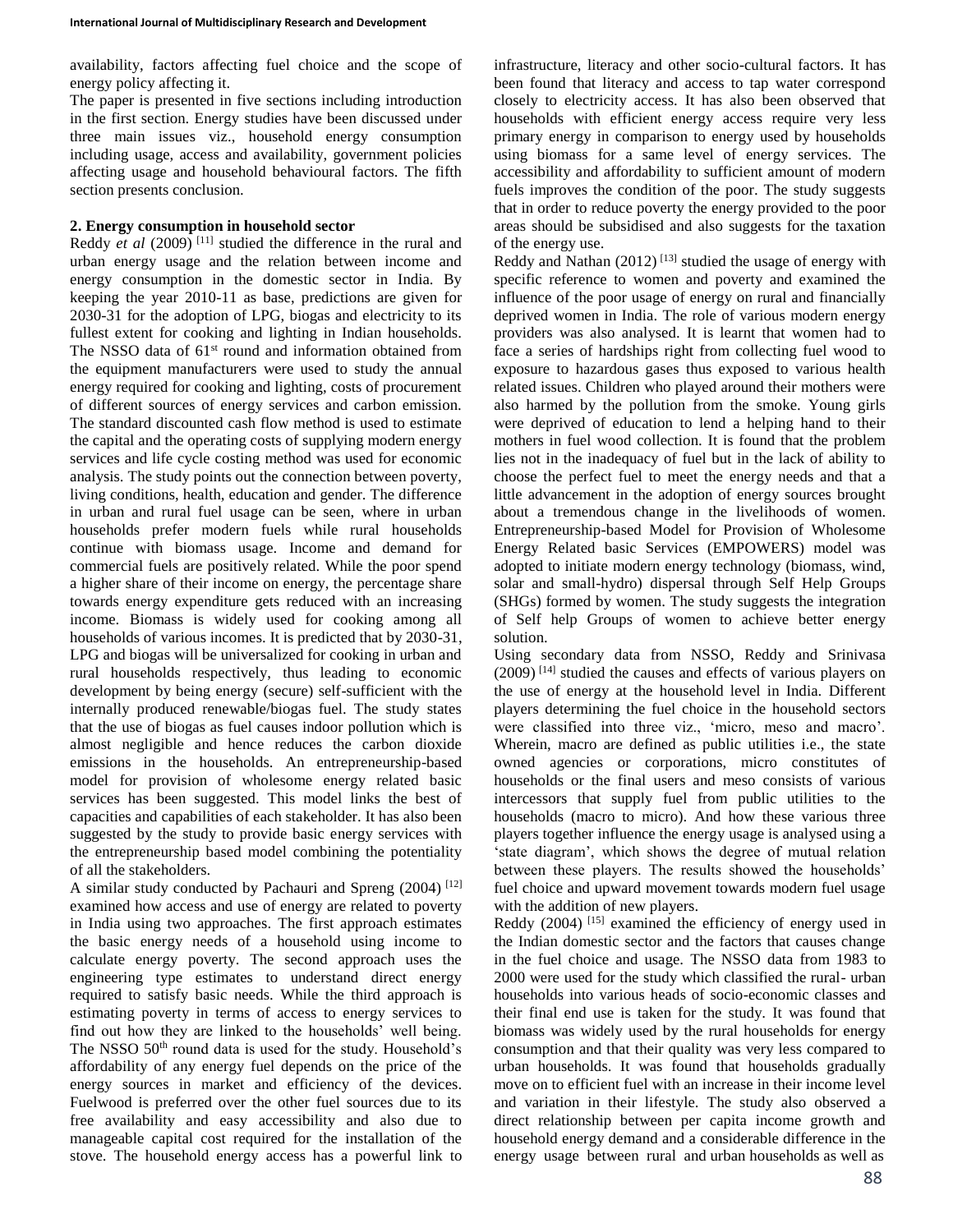availability, factors affecting fuel choice and the scope of energy policy affecting it.

The paper is presented in five sections including introduction in the first section. Energy studies have been discussed under three main issues viz., household energy consumption including usage, access and availability, government policies affecting usage and household behavioural factors. The fifth section presents conclusion.

## **2. Energy consumption in household sector**

Reddy *et al*  $(2009)$ <sup>[11]</sup> studied the difference in the rural and urban energy usage and the relation between income and energy consumption in the domestic sector in India. By keeping the year 2010-11 as base, predictions are given for 2030-31 for the adoption of LPG, biogas and electricity to its fullest extent for cooking and lighting in Indian households. The NSSO data of 61<sup>st</sup> round and information obtained from the equipment manufacturers were used to study the annual energy required for cooking and lighting, costs of procurement of different sources of energy services and carbon emission. The standard discounted cash flow method is used to estimate the capital and the operating costs of supplying modern energy services and life cycle costing method was used for economic analysis. The study points out the connection between poverty, living conditions, health, education and gender. The difference in urban and rural fuel usage can be seen, where in urban households prefer modern fuels while rural households continue with biomass usage. Income and demand for commercial fuels are positively related. While the poor spend a higher share of their income on energy, the percentage share towards energy expenditure gets reduced with an increasing income. Biomass is widely used for cooking among all households of various incomes. It is predicted that by 2030-31, LPG and biogas will be universalized for cooking in urban and rural households respectively, thus leading to economic development by being energy (secure) self-sufficient with the internally produced renewable/biogas fuel. The study states that the use of biogas as fuel causes indoor pollution which is almost negligible and hence reduces the carbon dioxide emissions in the households. An entrepreneurship-based model for provision of wholesome energy related basic services has been suggested. This model links the best of capacities and capabilities of each stakeholder. It has also been suggested by the study to provide basic energy services with the entrepreneurship based model combining the potentiality of all the stakeholders.

A similar study conducted by Pachauri and Spreng  $(2004)$ <sup>[12]</sup> examined how access and use of energy are related to poverty in India using two approaches. The first approach estimates the basic energy needs of a household using income to calculate energy poverty. The second approach uses the engineering type estimates to understand direct energy required to satisfy basic needs. While the third approach is estimating poverty in terms of access to energy services to find out how they are linked to the households' well being. The NSSO 50<sup>th</sup> round data is used for the study. Household's affordability of any energy fuel depends on the price of the energy sources in market and efficiency of the devices. Fuelwood is preferred over the other fuel sources due to its free availability and easy accessibility and also due to manageable capital cost required for the installation of the stove. The household energy access has a powerful link to

infrastructure, literacy and other socio-cultural factors. It has been found that literacy and access to tap water correspond closely to electricity access. It has also been observed that households with efficient energy access require very less primary energy in comparison to energy used by households using biomass for a same level of energy services. The accessibility and affordability to sufficient amount of modern fuels improves the condition of the poor. The study suggests that in order to reduce poverty the energy provided to the poor areas should be subsidised and also suggests for the taxation of the energy use.

Reddy and Nathan (2012)<sup>[13]</sup> studied the usage of energy with specific reference to women and poverty and examined the influence of the poor usage of energy on rural and financially deprived women in India. The role of various modern energy providers was also analysed. It is learnt that women had to face a series of hardships right from collecting fuel wood to exposure to hazardous gases thus exposed to various health related issues. Children who played around their mothers were also harmed by the pollution from the smoke. Young girls were deprived of education to lend a helping hand to their mothers in fuel wood collection. It is found that the problem lies not in the inadequacy of fuel but in the lack of ability to choose the perfect fuel to meet the energy needs and that a little advancement in the adoption of energy sources brought about a tremendous change in the livelihoods of women. Entrepreneurship-based Model for Provision of Wholesome Energy Related basic Services (EMPOWERS) model was adopted to initiate modern energy technology (biomass, wind, solar and small-hydro) dispersal through Self Help Groups (SHGs) formed by women. The study suggests the integration of Self help Groups of women to achieve better energy solution.

Using secondary data from NSSO, Reddy and Srinivasa  $(2009)$ <sup>[14]</sup> studied the causes and effects of various players on the use of energy at the household level in India. Different players determining the fuel choice in the household sectors were classified into three viz., 'micro, meso and macro'. Wherein, macro are defined as public utilities i.e., the state owned agencies or corporations, micro constitutes of households or the final users and meso consists of various intercessors that supply fuel from public utilities to the households (macro to micro). And how these various three players together influence the energy usage is analysed using a 'state diagram', which shows the degree of mutual relation between these players. The results showed the households' fuel choice and upward movement towards modern fuel usage with the addition of new players.

Reddy  $(2004)$ <sup>[15]</sup> examined the efficiency of energy used in the Indian domestic sector and the factors that causes change in the fuel choice and usage. The NSSO data from 1983 to 2000 were used for the study which classified the rural- urban households into various heads of socio-economic classes and their final end use is taken for the study. It was found that biomass was widely used by the rural households for energy consumption and that their quality was very less compared to urban households. It was found that households gradually move on to efficient fuel with an increase in their income level and variation in their lifestyle. The study also observed a direct relationship between per capita income growth and household energy demand and a considerable difference in the energy usage between rural and urban households as well as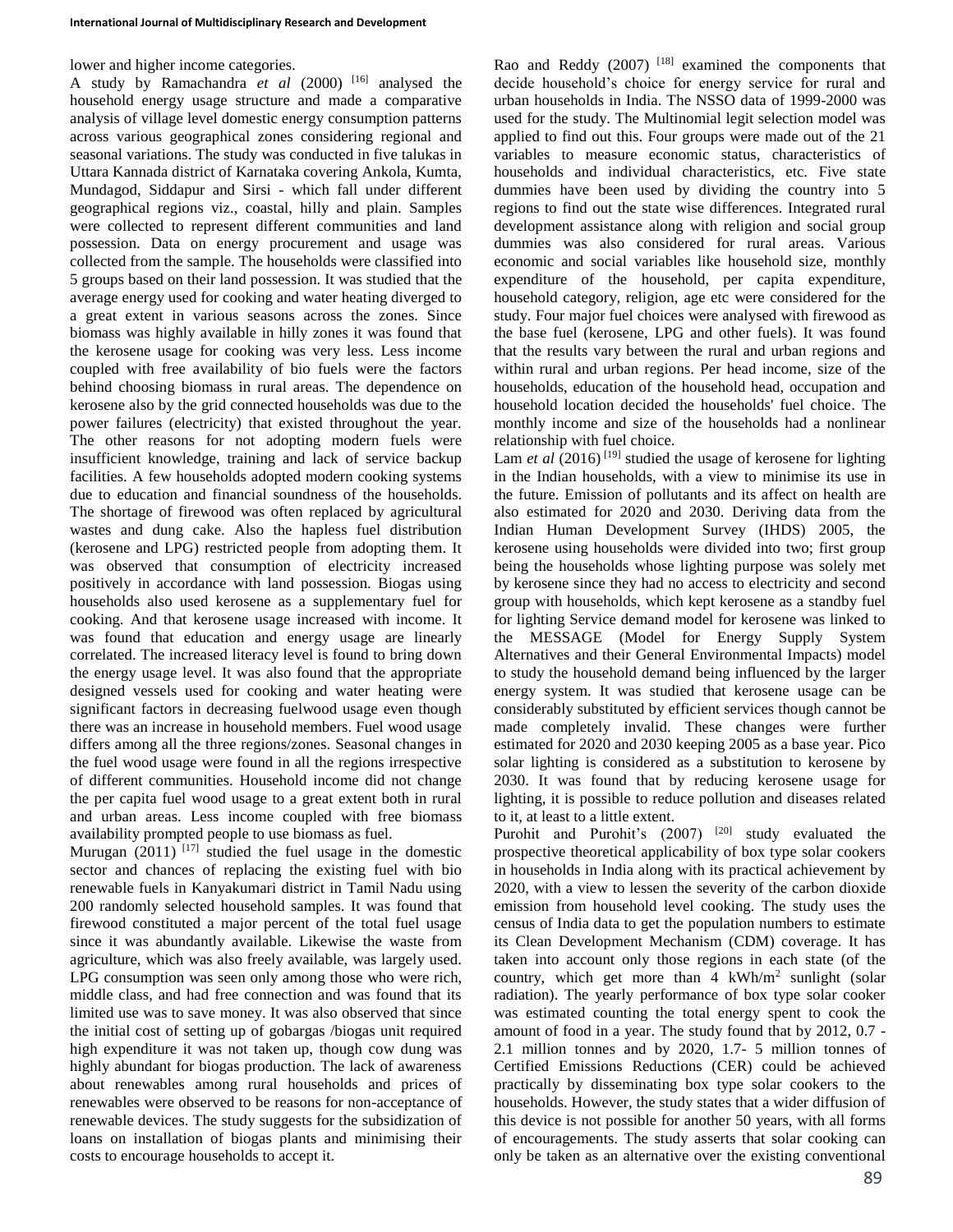lower and higher income categories.

A study by Ramachandra *et al* (2000) [16] analysed the household energy usage structure and made a comparative analysis of village level domestic energy consumption patterns across various geographical zones considering regional and seasonal variations. The study was conducted in five talukas in Uttara Kannada district of Karnataka covering Ankola, Kumta, Mundagod, Siddapur and Sirsi - which fall under different geographical regions viz., coastal, hilly and plain. Samples were collected to represent different communities and land possession. Data on energy procurement and usage was collected from the sample. The households were classified into 5 groups based on their land possession. It was studied that the average energy used for cooking and water heating diverged to a great extent in various seasons across the zones. Since biomass was highly available in hilly zones it was found that the kerosene usage for cooking was very less. Less income coupled with free availability of bio fuels were the factors behind choosing biomass in rural areas. The dependence on kerosene also by the grid connected households was due to the power failures (electricity) that existed throughout the year. The other reasons for not adopting modern fuels were insufficient knowledge, training and lack of service backup facilities. A few households adopted modern cooking systems due to education and financial soundness of the households. The shortage of firewood was often replaced by agricultural wastes and dung cake. Also the hapless fuel distribution (kerosene and LPG) restricted people from adopting them. It was observed that consumption of electricity increased positively in accordance with land possession. Biogas using households also used kerosene as a supplementary fuel for cooking. And that kerosene usage increased with income. It was found that education and energy usage are linearly correlated. The increased literacy level is found to bring down the energy usage level. It was also found that the appropriate designed vessels used for cooking and water heating were significant factors in decreasing fuelwood usage even though there was an increase in household members. Fuel wood usage differs among all the three regions/zones. Seasonal changes in the fuel wood usage were found in all the regions irrespective of different communities. Household income did not change the per capita fuel wood usage to a great extent both in rural and urban areas. Less income coupled with free biomass availability prompted people to use biomass as fuel.

Murugan  $(2011)$ <sup>[17]</sup> studied the fuel usage in the domestic sector and chances of replacing the existing fuel with bio renewable fuels in Kanyakumari district in Tamil Nadu using 200 randomly selected household samples. It was found that firewood constituted a major percent of the total fuel usage since it was abundantly available. Likewise the waste from agriculture, which was also freely available, was largely used. LPG consumption was seen only among those who were rich, middle class, and had free connection and was found that its limited use was to save money. It was also observed that since the initial cost of setting up of gobargas /biogas unit required high expenditure it was not taken up, though cow dung was highly abundant for biogas production. The lack of awareness about renewables among rural households and prices of renewables were observed to be reasons for non-acceptance of renewable devices. The study suggests for the subsidization of loans on installation of biogas plants and minimising their costs to encourage households to accept it.

Rao and Reddy  $(2007)$ <sup>[18]</sup> examined the components that decide household's choice for energy service for rural and urban households in India. The NSSO data of 1999-2000 was used for the study. The Multinomial legit selection model was applied to find out this. Four groups were made out of the 21 variables to measure economic status, characteristics of households and individual characteristics, etc. Five state dummies have been used by dividing the country into 5 regions to find out the state wise differences. Integrated rural development assistance along with religion and social group dummies was also considered for rural areas. Various economic and social variables like household size, monthly expenditure of the household, per capita expenditure, household category, religion, age etc were considered for the study. Four major fuel choices were analysed with firewood as the base fuel (kerosene, LPG and other fuels). It was found that the results vary between the rural and urban regions and within rural and urban regions. Per head income, size of the households, education of the household head, occupation and household location decided the households' fuel choice. The monthly income and size of the households had a nonlinear relationship with fuel choice.

Lam *et al* (2016)<sup>[19]</sup> studied the usage of kerosene for lighting in the Indian households, with a view to minimise its use in the future. Emission of pollutants and its affect on health are also estimated for 2020 and 2030. Deriving data from the Indian Human Development Survey (IHDS) 2005, the kerosene using households were divided into two; first group being the households whose lighting purpose was solely met by kerosene since they had no access to electricity and second group with households, which kept kerosene as a standby fuel for lighting Service demand model for kerosene was linked to the MESSAGE (Model for Energy Supply System Alternatives and their General Environmental Impacts) model to study the household demand being influenced by the larger energy system. It was studied that kerosene usage can be considerably substituted by efficient services though cannot be made completely invalid. These changes were further estimated for 2020 and 2030 keeping 2005 as a base year. Pico solar lighting is considered as a substitution to kerosene by 2030. It was found that by reducing kerosene usage for lighting, it is possible to reduce pollution and diseases related to it, at least to a little extent.

Purohit and Purohit's  $(2007)$  <sup>[20]</sup> study evaluated the prospective theoretical applicability of box type solar cookers in households in India along with its practical achievement by 2020, with a view to lessen the severity of the carbon dioxide emission from household level cooking. The study uses the census of India data to get the population numbers to estimate its Clean Development Mechanism (CDM) coverage. It has taken into account only those regions in each state (of the country, which get more than  $4 \text{ kWh/m}^2$  sunlight (solar radiation). The yearly performance of box type solar cooker was estimated counting the total energy spent to cook the amount of food in a year. The study found that by 2012, 0.7 - 2.1 million tonnes and by 2020, 1.7- 5 million tonnes of Certified Emissions Reductions (CER) could be achieved practically by disseminating box type solar cookers to the households. However, the study states that a wider diffusion of this device is not possible for another 50 years, with all forms of encouragements. The study asserts that solar cooking can only be taken as an alternative over the existing conventional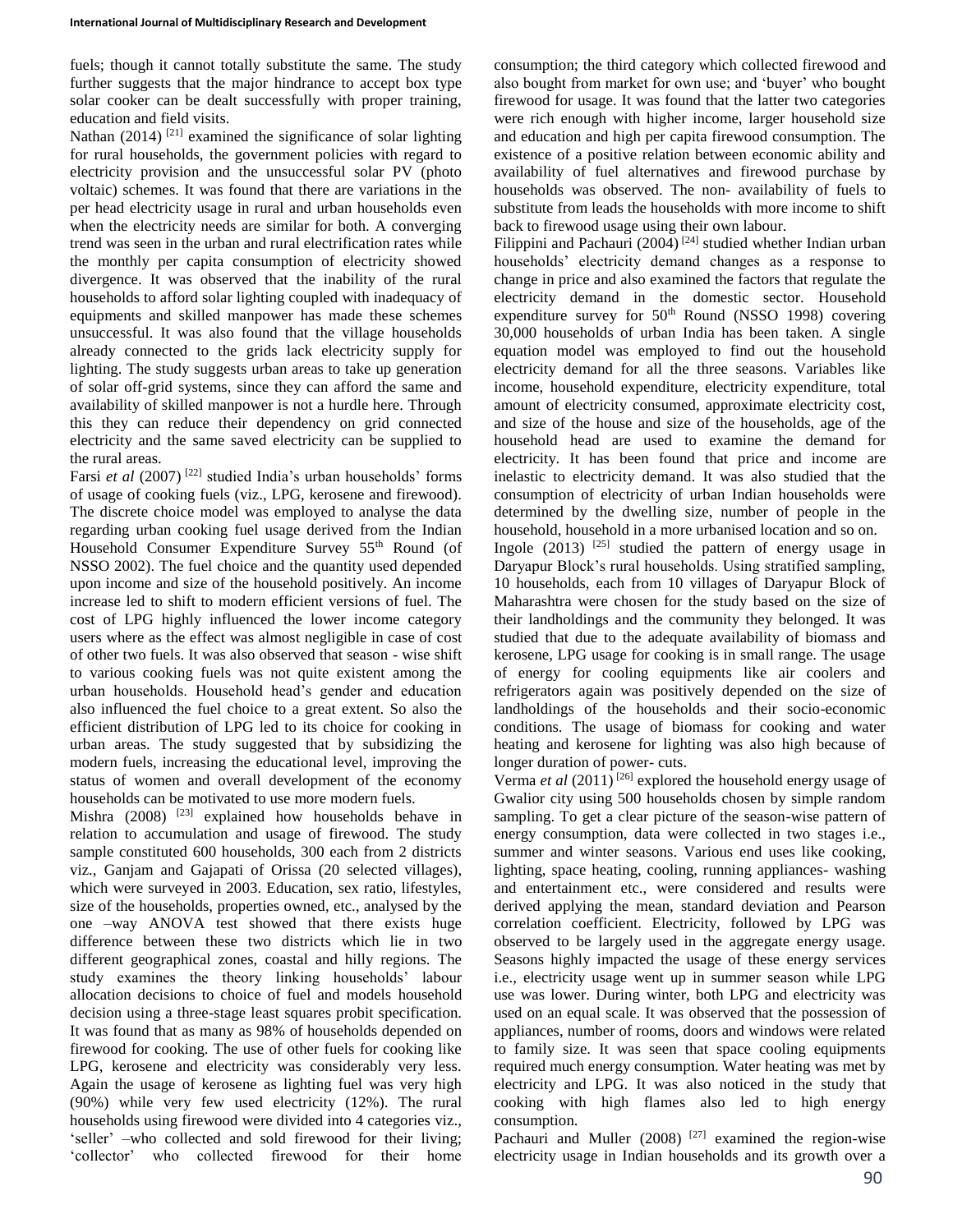fuels; though it cannot totally substitute the same. The study further suggests that the major hindrance to accept box type solar cooker can be dealt successfully with proper training, education and field visits.

Nathan (2014)<sup>[21]</sup> examined the significance of solar lighting for rural households, the government policies with regard to electricity provision and the unsuccessful solar PV (photo voltaic) schemes. It was found that there are variations in the per head electricity usage in rural and urban households even when the electricity needs are similar for both. A converging trend was seen in the urban and rural electrification rates while the monthly per capita consumption of electricity showed divergence. It was observed that the inability of the rural households to afford solar lighting coupled with inadequacy of equipments and skilled manpower has made these schemes unsuccessful. It was also found that the village households already connected to the grids lack electricity supply for lighting. The study suggests urban areas to take up generation of solar off-grid systems, since they can afford the same and availability of skilled manpower is not a hurdle here. Through this they can reduce their dependency on grid connected electricity and the same saved electricity can be supplied to the rural areas.

Farsi *et al* (2007)<sup>[22]</sup> studied India's urban households' forms of usage of cooking fuels (viz., LPG, kerosene and firewood). The discrete choice model was employed to analyse the data regarding urban cooking fuel usage derived from the Indian Household Consumer Expenditure Survey 55<sup>th</sup> Round (of NSSO 2002). The fuel choice and the quantity used depended upon income and size of the household positively. An income increase led to shift to modern efficient versions of fuel. The cost of LPG highly influenced the lower income category users where as the effect was almost negligible in case of cost of other two fuels. It was also observed that season - wise shift to various cooking fuels was not quite existent among the urban households. Household head's gender and education also influenced the fuel choice to a great extent. So also the efficient distribution of LPG led to its choice for cooking in urban areas. The study suggested that by subsidizing the modern fuels, increasing the educational level, improving the status of women and overall development of the economy households can be motivated to use more modern fuels.

Mishra  $(2008)$  <sup>[23]</sup> explained how households behave in relation to accumulation and usage of firewood. The study sample constituted 600 households, 300 each from 2 districts viz., Ganjam and Gajapati of Orissa (20 selected villages), which were surveyed in 2003. Education, sex ratio, lifestyles, size of the households, properties owned, etc., analysed by the one –way ANOVA test showed that there exists huge difference between these two districts which lie in two different geographical zones, coastal and hilly regions. The study examines the theory linking households' labour allocation decisions to choice of fuel and models household decision using a three-stage least squares probit specification. It was found that as many as 98% of households depended on firewood for cooking. The use of other fuels for cooking like LPG, kerosene and electricity was considerably very less. Again the usage of kerosene as lighting fuel was very high (90%) while very few used electricity (12%). The rural households using firewood were divided into 4 categories viz., 'seller' –who collected and sold firewood for their living; 'collector' who collected firewood for their home

consumption; the third category which collected firewood and also bought from market for own use; and 'buyer' who bought firewood for usage. It was found that the latter two categories were rich enough with higher income, larger household size and education and high per capita firewood consumption. The existence of a positive relation between economic ability and availability of fuel alternatives and firewood purchase by households was observed. The non- availability of fuels to substitute from leads the households with more income to shift back to firewood usage using their own labour.

Filippini and Pachauri (2004)<sup>[24]</sup> studied whether Indian urban households' electricity demand changes as a response to change in price and also examined the factors that regulate the electricity demand in the domestic sector. Household expenditure survey for 50<sup>th</sup> Round (NSSO 1998) covering 30,000 households of urban India has been taken. A single equation model was employed to find out the household electricity demand for all the three seasons. Variables like income, household expenditure, electricity expenditure, total amount of electricity consumed, approximate electricity cost, and size of the house and size of the households, age of the household head are used to examine the demand for electricity. It has been found that price and income are inelastic to electricity demand. It was also studied that the consumption of electricity of urban Indian households were determined by the dwelling size, number of people in the household, household in a more urbanised location and so on.

Ingole  $(2013)$  <sup>[25]</sup> studied the pattern of energy usage in Daryapur Block's rural households. Using stratified sampling, 10 households, each from 10 villages of Daryapur Block of Maharashtra were chosen for the study based on the size of their landholdings and the community they belonged. It was studied that due to the adequate availability of biomass and kerosene, LPG usage for cooking is in small range. The usage of energy for cooling equipments like air coolers and refrigerators again was positively depended on the size of landholdings of the households and their socio-economic conditions. The usage of biomass for cooking and water heating and kerosene for lighting was also high because of longer duration of power- cuts.

Verma *et al* (2011)<sup>[26]</sup> explored the household energy usage of Gwalior city using 500 households chosen by simple random sampling. To get a clear picture of the season-wise pattern of energy consumption, data were collected in two stages i.e., summer and winter seasons. Various end uses like cooking, lighting, space heating, cooling, running appliances- washing and entertainment etc., were considered and results were derived applying the mean, standard deviation and Pearson correlation coefficient. Electricity, followed by LPG was observed to be largely used in the aggregate energy usage. Seasons highly impacted the usage of these energy services i.e., electricity usage went up in summer season while LPG use was lower. During winter, both LPG and electricity was used on an equal scale. It was observed that the possession of appliances, number of rooms, doors and windows were related to family size. It was seen that space cooling equipments required much energy consumption. Water heating was met by electricity and LPG. It was also noticed in the study that cooking with high flames also led to high energy consumption.

Pachauri and Muller  $(2008)$ <sup>[27]</sup> examined the region-wise electricity usage in Indian households and its growth over a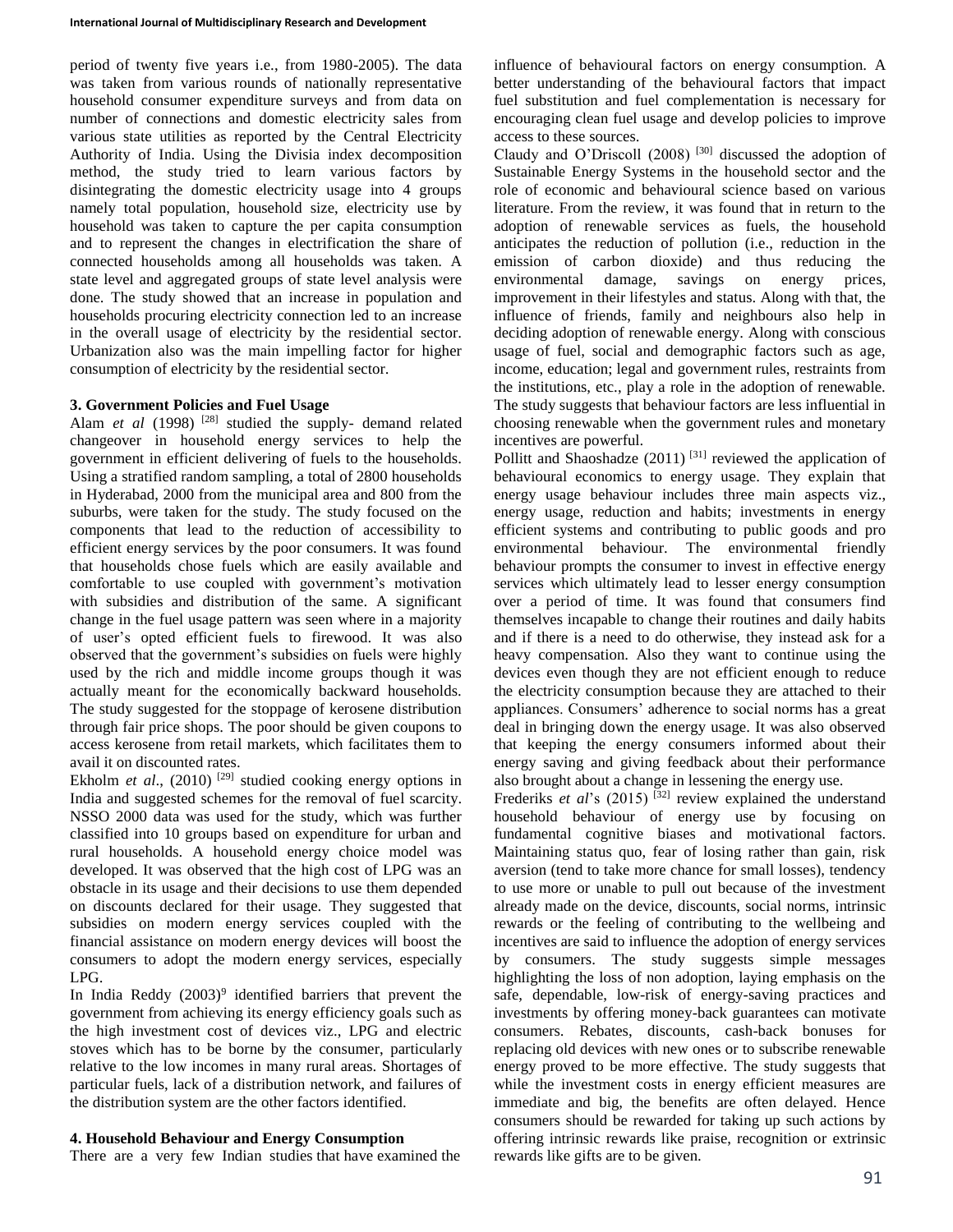period of twenty five years i.e., from 1980-2005). The data was taken from various rounds of nationally representative household consumer expenditure surveys and from data on number of connections and domestic electricity sales from various state utilities as reported by the Central Electricity Authority of India. Using the Divisia index decomposition method, the study tried to learn various factors by disintegrating the domestic electricity usage into 4 groups namely total population, household size, electricity use by household was taken to capture the per capita consumption and to represent the changes in electrification the share of connected households among all households was taken. A state level and aggregated groups of state level analysis were done. The study showed that an increase in population and households procuring electricity connection led to an increase in the overall usage of electricity by the residential sector. Urbanization also was the main impelling factor for higher consumption of electricity by the residential sector.

### **3. Government Policies and Fuel Usage**

Alam *et al* (1998)<sup>[28]</sup> studied the supply- demand related changeover in household energy services to help the government in efficient delivering of fuels to the households. Using a stratified random sampling, a total of 2800 households in Hyderabad, 2000 from the municipal area and 800 from the suburbs, were taken for the study. The study focused on the components that lead to the reduction of accessibility to efficient energy services by the poor consumers. It was found that households chose fuels which are easily available and comfortable to use coupled with government's motivation with subsidies and distribution of the same. A significant change in the fuel usage pattern was seen where in a majority of user's opted efficient fuels to firewood. It was also observed that the government's subsidies on fuels were highly used by the rich and middle income groups though it was actually meant for the economically backward households. The study suggested for the stoppage of kerosene distribution through fair price shops. The poor should be given coupons to access kerosene from retail markets, which facilitates them to avail it on discounted rates.

Ekholm *et al.*, (2010)<sup>[29]</sup> studied cooking energy options in India and suggested schemes for the removal of fuel scarcity. NSSO 2000 data was used for the study, which was further classified into 10 groups based on expenditure for urban and rural households. A household energy choice model was developed. It was observed that the high cost of LPG was an obstacle in its usage and their decisions to use them depended on discounts declared for their usage. They suggested that subsidies on modern energy services coupled with the financial assistance on modern energy devices will boost the consumers to adopt the modern energy services, especially LPG.

In India Reddy  $(2003)^9$  identified barriers that prevent the government from achieving its energy efficiency goals such as the high investment cost of devices viz., LPG and electric stoves which has to be borne by the consumer, particularly relative to the low incomes in many rural areas. Shortages of particular fuels, lack of a distribution network, and failures of the distribution system are the other factors identified.

# **4. Household Behaviour and Energy Consumption**

There are a very few Indian studies that have examined the

influence of behavioural factors on energy consumption. A better understanding of the behavioural factors that impact fuel substitution and fuel complementation is necessary for encouraging clean fuel usage and develop policies to improve access to these sources.

Claudy and O'Driscoll (2008) [30] discussed the adoption of Sustainable Energy Systems in the household sector and the role of economic and behavioural science based on various literature. From the review, it was found that in return to the adoption of renewable services as fuels, the household anticipates the reduction of pollution (i.e., reduction in the emission of carbon dioxide) and thus reducing the environmental damage, savings on energy prices, improvement in their lifestyles and status. Along with that, the influence of friends, family and neighbours also help in deciding adoption of renewable energy. Along with conscious usage of fuel, social and demographic factors such as age, income, education; legal and government rules, restraints from the institutions, etc., play a role in the adoption of renewable. The study suggests that behaviour factors are less influential in choosing renewable when the government rules and monetary incentives are powerful.

Pollitt and Shaoshadze  $(2011)$ <sup>[31]</sup> reviewed the application of behavioural economics to energy usage. They explain that energy usage behaviour includes three main aspects viz., energy usage, reduction and habits; investments in energy efficient systems and contributing to public goods and pro environmental behaviour. The environmental friendly behaviour prompts the consumer to invest in effective energy services which ultimately lead to lesser energy consumption over a period of time. It was found that consumers find themselves incapable to change their routines and daily habits and if there is a need to do otherwise, they instead ask for a heavy compensation. Also they want to continue using the devices even though they are not efficient enough to reduce the electricity consumption because they are attached to their appliances. Consumers' adherence to social norms has a great deal in bringing down the energy usage. It was also observed that keeping the energy consumers informed about their energy saving and giving feedback about their performance also brought about a change in lessening the energy use.

Frederiks *et al*'s (2015)<sup>[32]</sup> review explained the understand household behaviour of energy use by focusing on fundamental cognitive biases and motivational factors. Maintaining status quo, fear of losing rather than gain, risk aversion (tend to take more chance for small losses), tendency to use more or unable to pull out because of the investment already made on the device, discounts, social norms, intrinsic rewards or the feeling of contributing to the wellbeing and incentives are said to influence the adoption of energy services by consumers. The study suggests simple messages highlighting the loss of non adoption, laying emphasis on the safe, dependable, low-risk of energy-saving practices and investments by offering money-back guarantees can motivate consumers. Rebates, discounts, cash-back bonuses for replacing old devices with new ones or to subscribe renewable energy proved to be more effective. The study suggests that while the investment costs in energy efficient measures are immediate and big, the benefits are often delayed. Hence consumers should be rewarded for taking up such actions by offering intrinsic rewards like praise, recognition or extrinsic rewards like gifts are to be given.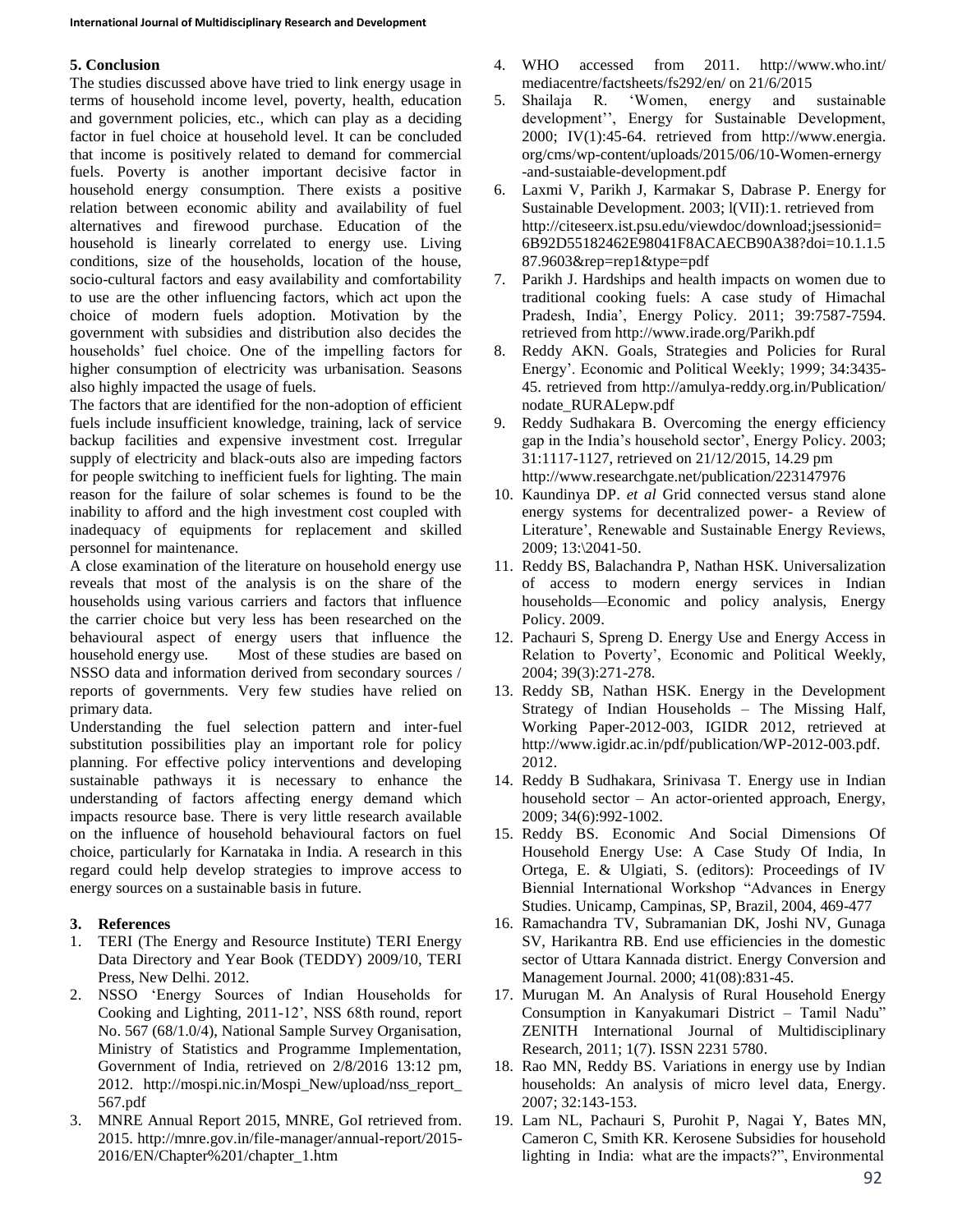# **5. Conclusion**

The studies discussed above have tried to link energy usage in terms of household income level, poverty, health, education and government policies, etc., which can play as a deciding factor in fuel choice at household level. It can be concluded that income is positively related to demand for commercial fuels. Poverty is another important decisive factor in household energy consumption. There exists a positive relation between economic ability and availability of fuel alternatives and firewood purchase. Education of the household is linearly correlated to energy use. Living conditions, size of the households, location of the house, socio-cultural factors and easy availability and comfortability to use are the other influencing factors, which act upon the choice of modern fuels adoption. Motivation by the government with subsidies and distribution also decides the households' fuel choice. One of the impelling factors for higher consumption of electricity was urbanisation. Seasons also highly impacted the usage of fuels.

The factors that are identified for the non-adoption of efficient fuels include insufficient knowledge, training, lack of service backup facilities and expensive investment cost. Irregular supply of electricity and black-outs also are impeding factors for people switching to inefficient fuels for lighting. The main reason for the failure of solar schemes is found to be the inability to afford and the high investment cost coupled with inadequacy of equipments for replacement and skilled personnel for maintenance.

A close examination of the literature on household energy use reveals that most of the analysis is on the share of the households using various carriers and factors that influence the carrier choice but very less has been researched on the behavioural aspect of energy users that influence the household energy use. Most of these studies are based on NSSO data and information derived from secondary sources / reports of governments. Very few studies have relied on primary data.

Understanding the fuel selection pattern and inter-fuel substitution possibilities play an important role for policy planning. For effective policy interventions and developing sustainable pathways it is necessary to enhance the understanding of factors affecting energy demand which impacts resource base. There is very little research available on the influence of household behavioural factors on fuel choice, particularly for Karnataka in India. A research in this regard could help develop strategies to improve access to energy sources on a sustainable basis in future.

# **3. References**

- 1. TERI (The Energy and Resource Institute) TERI Energy Data Directory and Year Book (TEDDY) 2009/10, TERI Press, New Delhi. 2012.
- 2. NSSO 'Energy Sources of Indian Households for Cooking and Lighting, 2011-12', NSS 68th round, report No. 567 (68/1.0/4), National Sample Survey Organisation, Ministry of Statistics and Programme Implementation, Government of India, retrieved on 2/8/2016 13:12 pm, 2012. http://mospi.nic.in/Mospi\_New/upload/nss\_report\_ 567.pdf
- 3. MNRE Annual Report 2015, MNRE, GoI retrieved from. 2015. http://mnre.gov.in/file-manager/annual-report/2015- 2016/EN/Chapter%201/chapter\_1.htm
- 4. WHO accessed from 2011. http://www.who.int/ mediacentre/factsheets/fs292/en/ on 21/6/2015
- 5. Shailaja R. 'Women, energy and sustainable development'', Energy for Sustainable Development, 2000; IV(1):45-64. retrieved from http://www.energia. org/cms/wp-content/uploads/2015/06/10-Women-ernergy -and-sustaiable-development.pdf
- 6. Laxmi V, Parikh J, Karmakar S, Dabrase P. Energy for Sustainable Development. 2003; l(VII):1. retrieved from http://citeseerx.ist.psu.edu/viewdoc/download;jsessionid= 6B92D55182462E98041F8ACAECB90A38?doi=10.1.1.5 87.9603&rep=rep1&type=pdf
- 7. Parikh J. Hardships and health impacts on women due to traditional cooking fuels: A case study of Himachal Pradesh, India', Energy Policy. 2011; 39:7587-7594. retrieved from http://www.irade.org/Parikh.pdf
- 8. Reddy AKN. Goals, Strategies and Policies for Rural Energy'. Economic and Political Weekly; 1999; 34:3435- 45. retrieved from http://amulya-reddy.org.in/Publication/ nodate\_RURALepw.pdf
- 9. Reddy Sudhakara B. Overcoming the energy efficiency gap in the India's household sector', Energy Policy. 2003; 31:1117-1127, retrieved on 21/12/2015, 14.29 pm http://www.researchgate.net/publication/223147976
- 10. Kaundinya DP. *et al* Grid connected versus stand alone energy systems for decentralized power- a Review of Literature', Renewable and Sustainable Energy Reviews, 2009; 13:\2041-50.
- 11. Reddy BS, Balachandra P, Nathan HSK. Universalization of access to modern energy services in Indian households—Economic and policy analysis, Energy Policy. 2009.
- 12. Pachauri S, Spreng D. Energy Use and Energy Access in Relation to Poverty', Economic and Political Weekly, 2004; 39(3):271-278.
- 13. Reddy SB, Nathan HSK. Energy in the Development Strategy of Indian Households – The Missing Half, Working Paper-2012-003, IGIDR 2012, retrieved at http://www.igidr.ac.in/pdf/publication/WP-2012-003.pdf. 2012.
- 14. Reddy B Sudhakara, Srinivasa T. Energy use in Indian household sector – An actor-oriented approach, Energy, 2009; 34(6):992-1002.
- 15. Reddy BS. Economic And Social Dimensions Of Household Energy Use: A Case Study Of India, In Ortega, E. & Ulgiati, S. (editors): Proceedings of IV Biennial International Workshop "Advances in Energy Studies. Unicamp, Campinas, SP, Brazil, 2004, 469-477
- 16. Ramachandra TV, Subramanian DK, Joshi NV, Gunaga SV, Harikantra RB. End use efficiencies in the domestic sector of Uttara Kannada district. Energy Conversion and Management Journal. 2000; 41(08):831-45.
- 17. Murugan M. An Analysis of Rural Household Energy Consumption in Kanyakumari District – Tamil Nadu" ZENITH International Journal of Multidisciplinary Research, 2011; 1(7). ISSN 2231 5780.
- 18. Rao MN, Reddy BS. Variations in energy use by Indian households: An analysis of micro level data, Energy. 2007; 32:143-153.
- 19. Lam NL, Pachauri S, Purohit P, Nagai Y, Bates MN, Cameron C, Smith KR. Kerosene Subsidies for household lighting in India: what are the impacts?", Environmental